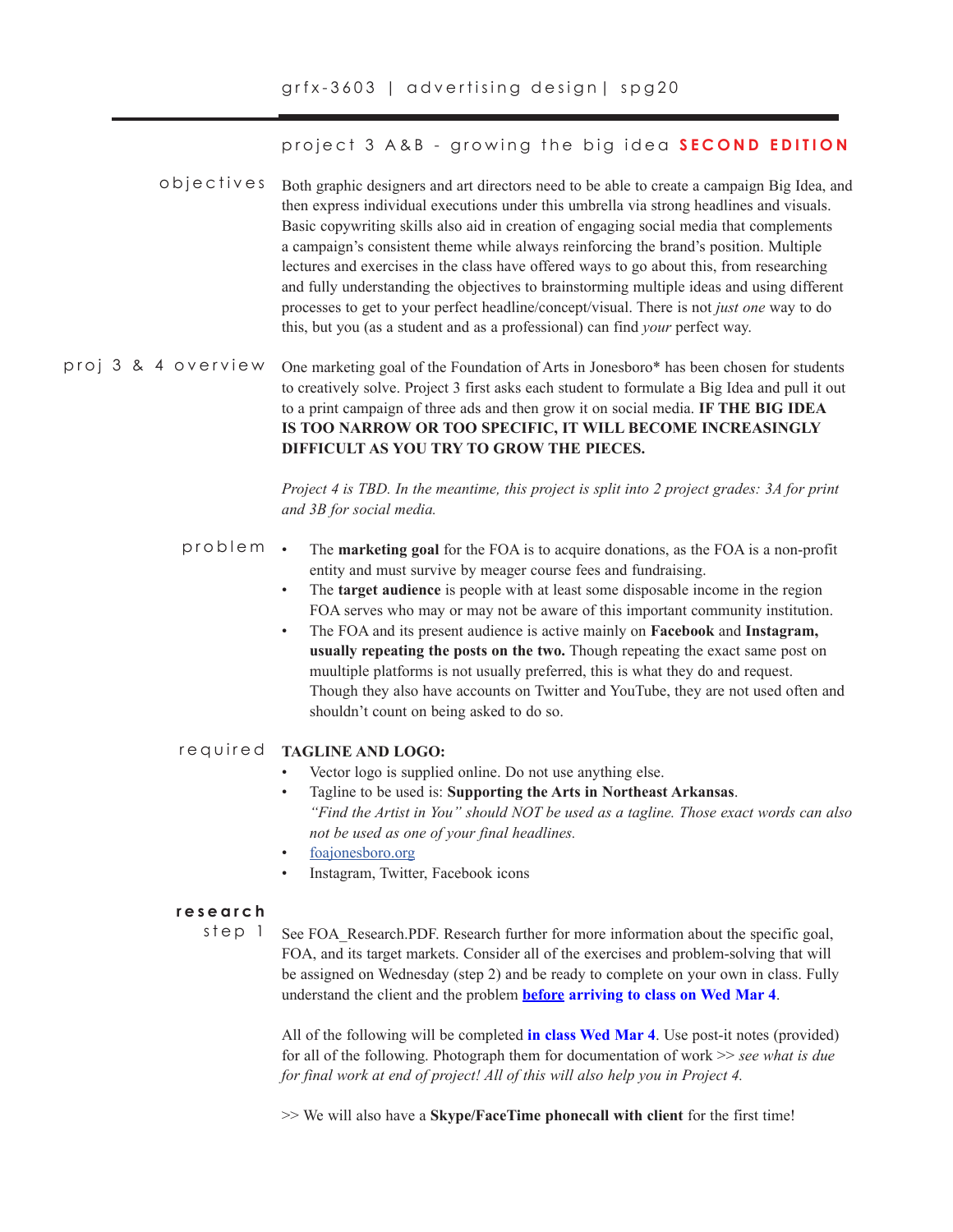project 3 A&B - growing the big idea **SECOND EDITION**

- o b j e c t i v e s Both graphic designers and art directors need to be able to create a campaign Big Idea, and then express individual executions under this umbrella via strong headlines and visuals. Basic copywriting skills also aid in creation of engaging social media that complements a campaign's consistent theme while always reinforcing the brand's position. Multiple lectures and exercises in the class have offered ways to go about this, from researching and fully understanding the objectives to brainstorming multiple ideas and using different processes to get to your perfect headline/concept/visual. There is not *just one* way to do this, but you (as a student and as a professional) can find *your* perfect way.
- One marketing goal of the Foundation of Arts in Jonesboro\* has been chosen for students to creatively solve. Project 3 first asks each student to formulate a Big Idea and pull it out to a print campaign of three ads and then grow it on social media. **IF THE BIG IDEA IS TOO NARROW OR TOO SPECIFIC, IT WILL BECOME INCREASINGLY DIFFICULT AS YOU TRY TO GROW THE PIECES.**  proj 3 & 4 overview

*Project 4 is TBD. In the meantime, this project is split into 2 project grades: 3A for print and 3B for social media.*

- The **marketing goal** for the FOA is to acquire donations, as the FOA is a non-profit entity and must survive by meager course fees and fundraising. problem
	- The **target audience** is people with at least some disposable income in the region FOA serves who may or may not be aware of this important community institution.
	- The FOA and its present audience is active mainly on **Facebook** and **Instagram, usually repeating the posts on the two.** Though repeating the exact same post on muultiple platforms is not usually preferred, this is what they do and request. Though they also have accounts on Twitter and YouTube, they are not used often and shouldn't count on being asked to do so.

# **TAGLINE AND LOGO:** required

- Vector logo is supplied online. Do not use anything else.
- Tagline to be used is: **Supporting the Arts in Northeast Arkansas**. *"Find the Artist in You" should NOT be used as a tagline. Those exact words can also not be used as one of your final headlines.*
- foajonesboro.org
- Instagram, Twitter, Facebook icons

### **research**

step 1

See FOA\_Research.PDF. Research further for more information about the specific goal, FOA, and its target markets. Consider all of the exercises and problem-solving that will be assigned on Wednesday (step 2) and be ready to complete on your own in class. Fully understand the client and the problem **before arriving to class on Wed Mar 4**.

All of the following will be completed **in class Wed Mar 4**. Use post-it notes (provided) for all of the following. Photograph them for documentation of work >> *see what is due for final work at end of project! All of this will also help you in Project 4.*

>> We will also have a **Skype/FaceTime phonecall with client** for the first time!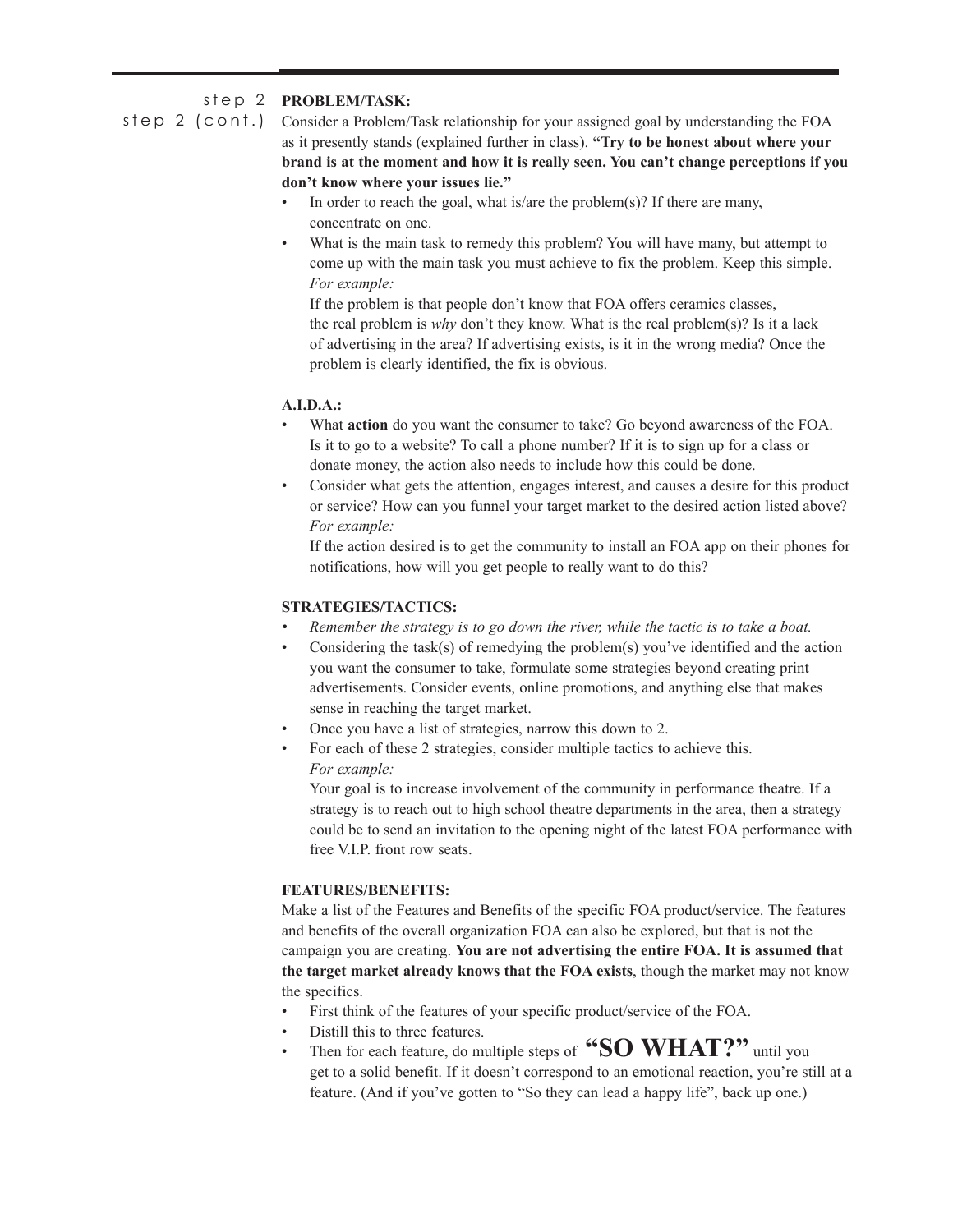# step 2 **PROBLEM/TASK:**

step 2 (cont.) Consider a Problem/Task relationship for your assigned goal by understanding the FOA as it presently stands (explained further in class). **"Try to be honest about where your brand is at the moment and how it is really seen. You can't change perceptions if you don't know where your issues lie."** 

- In order to reach the goal, what is/are the problem(s)? If there are many, concentrate on one.
- What is the main task to remedy this problem? You will have many, but attempt to come up with the main task you must achieve to fix the problem. Keep this simple. *For example:*

If the problem is that people don't know that FOA offers ceramics classes, the real problem is *why* don't they know. What is the real problem(s)? Is it a lack of advertising in the area? If advertising exists, is it in the wrong media? Once the problem is clearly identified, the fix is obvious.

# **A.I.D.A.:**

- What **action** do you want the consumer to take? Go beyond awareness of the FOA. Is it to go to a website? To call a phone number? If it is to sign up for a class or donate money, the action also needs to include how this could be done.
- Consider what gets the attention, engages interest, and causes a desire for this product or service? How can you funnel your target market to the desired action listed above? *For example:*

If the action desired is to get the community to install an FOA app on their phones for notifications, how will you get people to really want to do this?

# **STRATEGIES/TACTICS:**

- *• Remember the strategy is to go down the river, while the tactic is to take a boat.*
- Considering the task(s) of remedying the problem(s) you've identified and the action you want the consumer to take, formulate some strategies beyond creating print advertisements. Consider events, online promotions, and anything else that makes sense in reaching the target market.
- Once you have a list of strategies, narrow this down to 2.
- For each of these 2 strategies, consider multiple tactics to achieve this. *For example:*

Your goal is to increase involvement of the community in performance theatre. If a strategy is to reach out to high school theatre departments in the area, then a strategy could be to send an invitation to the opening night of the latest FOA performance with free V.I.P. front row seats.

# **FEATURES/BENEFITS:**

Make a list of the Features and Benefits of the specific FOA product/service. The features and benefits of the overall organization FOA can also be explored, but that is not the campaign you are creating. **You are not advertising the entire FOA. It is assumed that the target market already knows that the FOA exists**, though the market may not know the specifics.

- First think of the features of your specific product/service of the FOA.
- Distill this to three features.
- Then for each feature, do multiple steps of **"SO WHAT?"** until you get to a solid benefit. If it doesn't correspond to an emotional reaction, you're still at a feature. (And if you've gotten to "So they can lead a happy life", back up one.)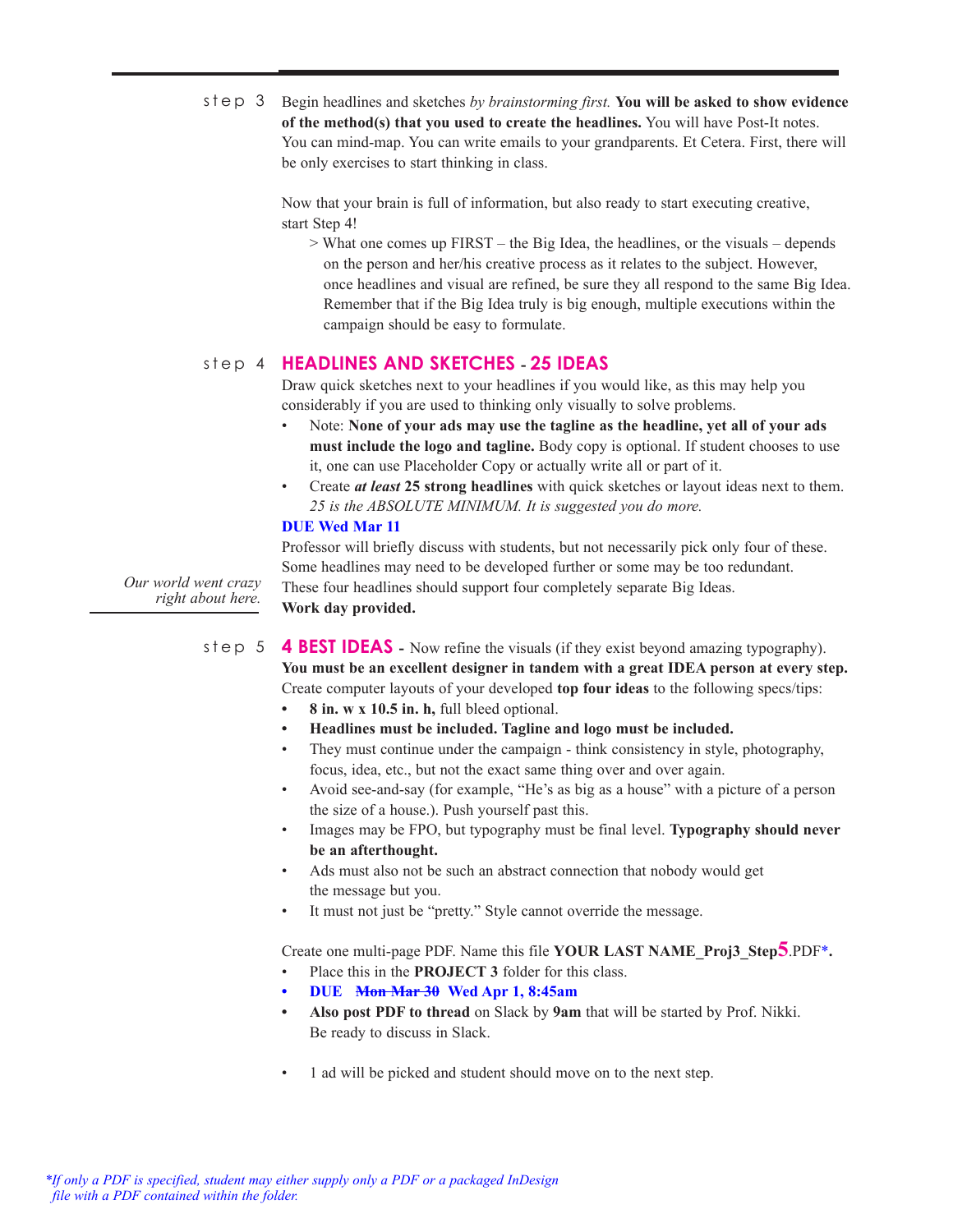step 3 Begin headlines and sketches by brainstorming first. You will be asked to show evidence **of the method(s) that you used to create the headlines.** You will have Post-It notes. You can mind-map. You can write emails to your grandparents. Et Cetera. First, there will be only exercises to start thinking in class.

> Now that your brain is full of information, but also ready to start executing creative, start Step 4!

> What one comes up FIRST – the Big Idea, the headlines, or the visuals – depends on the person and her/his creative process as it relates to the subject. However, once headlines and visual are refined, be sure they all respond to the same Big Idea. Remember that if the Big Idea truly is big enough, multiple executions within the campaign should be easy to formulate.

# **HEADLINES AND SKETCHES - 25 IDEAS** step 4

Draw quick sketches next to your headlines if you would like, as this may help you considerably if you are used to thinking only visually to solve problems.

- Note: **None of your ads may use the tagline as the headline, yet all of your ads must include the logo and tagline.** Body copy is optional. If student chooses to use it, one can use Placeholder Copy or actually write all or part of it.
- Create *at least* **25 strong headlines** with quick sketches or layout ideas next to them. *25 is the ABSOLUTE MINIMUM. It is suggested you do more.*

## **DUE Wed Mar 11**

*Our world went crazy* 

Professor will briefly discuss with students, but not necessarily pick only four of these. Some headlines may need to be developed further or some may be too redundant. These four headlines should support four completely separate Big Ideas. **Work day provided.** 

*right about here.* 

step 5

**4 BEST IDEAS -** Now refine the visuals (if they exist beyond amazing typography). **You must be an excellent designer in tandem with a great IDEA person at every step.**  Create computer layouts of your developed **top four ideas** to the following specs/tips:

- **• 8 in. w x 10.5 in. h,** full bleed optional.
- **• Headlines must be included. Tagline and logo must be included.**
- They must continue under the campaign think consistency in style, photography, focus, idea, etc., but not the exact same thing over and over again.
- Avoid see-and-say (for example, "He's as big as a house" with a picture of a person the size of a house.). Push yourself past this.
- Images may be FPO, but typography must be final level. **Typography should never be an afterthought.**
- Ads must also not be such an abstract connection that nobody would get the message but you.
- It must not just be "pretty." Style cannot override the message.

Create one multi-page PDF. Name this file **YOUR LAST NAME\_Proj3\_Step5**.PDF\***.**

- Place this in the **PROJECT 3** folder for this class.
- **• DUE Mon Mar 30 Wed Apr 1, 8:45am**
- **• Also post PDF to thread** on Slack by **9am** that will be started by Prof. Nikki. Be ready to discuss in Slack.
- 1 ad will be picked and student should move on to the next step.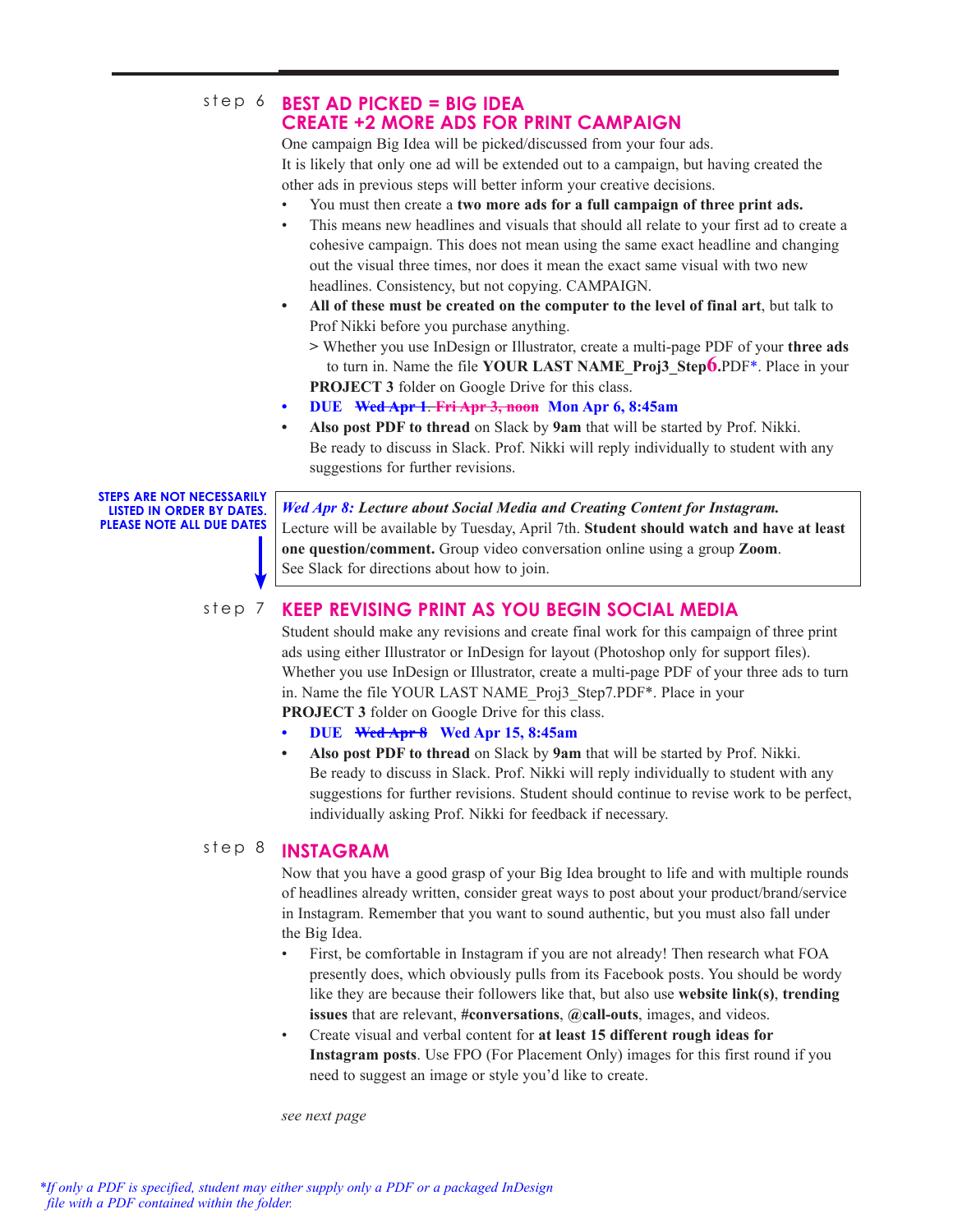# step 6 BEST AD PICKED = BIG IDEA **CREATE +2 MORE ADS FOR PRINT CAMPAIGN**

One campaign Big Idea will be picked/discussed from your four ads. It is likely that only one ad will be extended out to a campaign, but having created the other ads in previous steps will better inform your creative decisions.

- You must then create a **two more ads for a full campaign of three print ads.**
- This means new headlines and visuals that should all relate to your first ad to create a cohesive campaign. This does not mean using the same exact headline and changing out the visual three times, nor does it mean the exact same visual with two new headlines. Consistency, but not copying. CAMPAIGN.
- **• All of these must be created on the computer to the level of final art**, but talk to Prof Nikki before you purchase anything.

**>** Whether you use InDesign or Illustrator, create a multi-page PDF of your **three ads** to turn in. Name the file **YOUR LAST NAME\_Proj3\_Step6.**PDF\*. Place in your **PROJECT 3** folder on Google Drive for this class.

- **• DUE Wed Apr 1**. **Fri Apr 3, noon Mon Apr 6, 8:45am**
- **• Also post PDF to thread** on Slack by **9am** that will be started by Prof. Nikki. Be ready to discuss in Slack. Prof. Nikki will reply individually to student with any suggestions for further revisions.

**STEPS ARE NOT NECESSARILY LISTED IN ORDER BY DATES. PLEASE NOTE ALL DUE DATES** 

*Wed Apr 8: Lecture about Social Media and Creating Content for Instagram.* Lecture will be available by Tuesday, April 7th. **Student should watch and have at least one question/comment.** Group video conversation online using a group **Zoom**. See Slack for directions about how to join.

### **KEEP REVISING PRINT AS YOU BEGIN SOCIAL MEDIA** step 7

Student should make any revisions and create final work for this campaign of three print ads using either Illustrator or InDesign for layout (Photoshop only for support files). Whether you use InDesign or Illustrator, create a multi-page PDF of your three ads to turn in. Name the file YOUR LAST NAME\_Proj3\_Step7.PDF\*. Place in your **PROJECT 3** folder on Google Drive for this class.

**• DUE Wed Apr 8 Wed Apr 15, 8:45am**

**• Also post PDF to thread** on Slack by **9am** that will be started by Prof. Nikki. Be ready to discuss in Slack. Prof. Nikki will reply individually to student with any suggestions for further revisions. Student should continue to revise work to be perfect, individually asking Prof. Nikki for feedback if necessary.

### **INSTAGRAM**  step 8

Now that you have a good grasp of your Big Idea brought to life and with multiple rounds of headlines already written, consider great ways to post about your product/brand/service in Instagram. Remember that you want to sound authentic, but you must also fall under the Big Idea.

- First, be comfortable in Instagram if you are not already! Then research what FOA presently does, which obviously pulls from its Facebook posts. You should be wordy like they are because their followers like that, but also use **website link(s)**, **trending issues** that are relevant, **#conversations**, **@call-outs**, images, and videos.
- Create visual and verbal content for **at least 15 different rough ideas for Instagram posts**. Use FPO (For Placement Only) images for this first round if you need to suggest an image or style you'd like to create.

*see next page*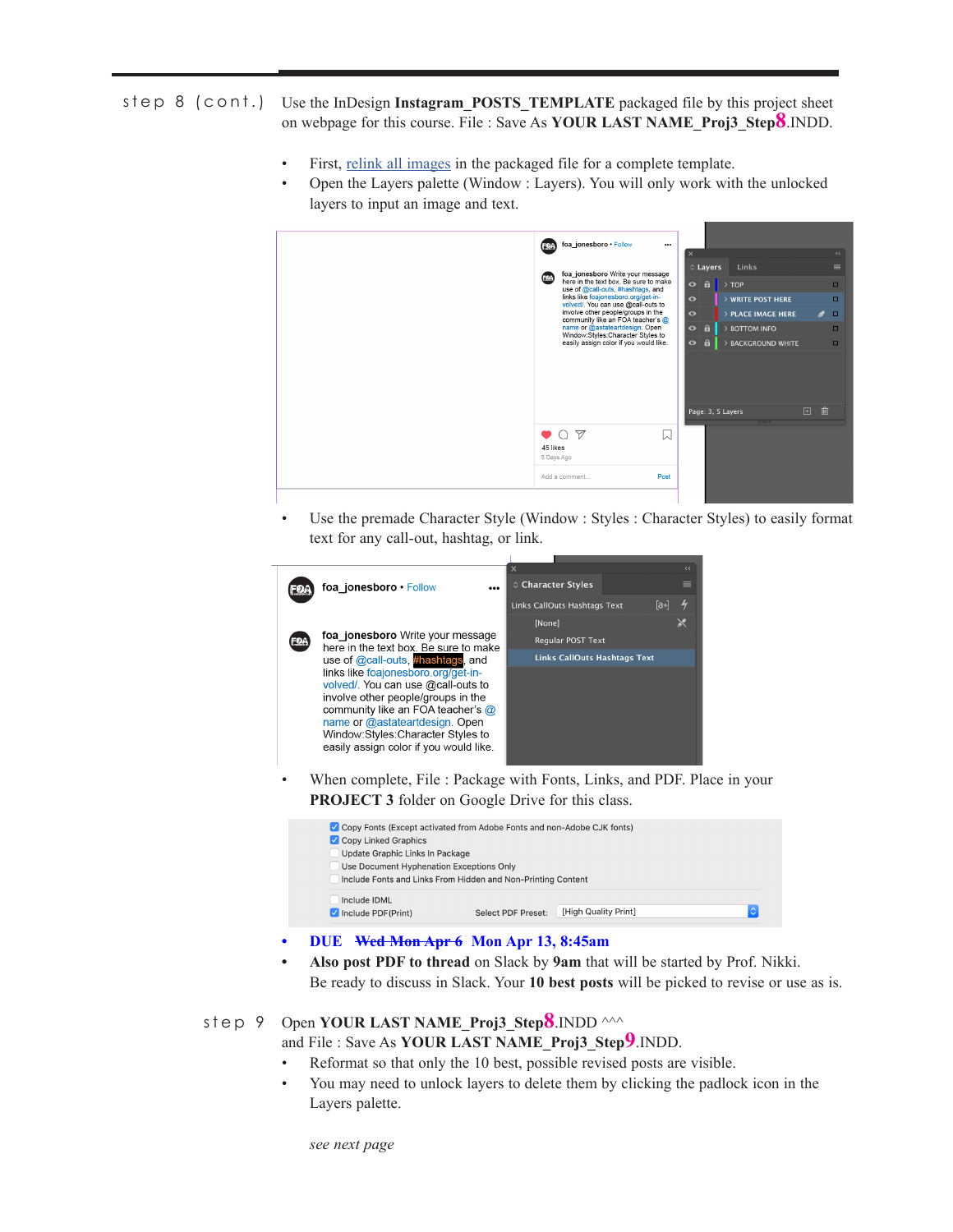# step 8 (cont.) Use the InDesign Instagram\_POSTS\_TEMPLATE packaged file by this project sheet on webpage for this course. File : Save As **YOUR LAST NAME\_Proj3\_Step8**.INDD.

- First, relink all images in the packaged file for a complete template.
- Open the Layers palette (Window : Layers). You will only work with the unlocked layers to input an image and text.



• Use the premade Character Style (Window : Styles : Character Styles) to easily format text for any call-out, hashtag, or link.



When complete, File : Package with Fonts, Links, and PDF. Place in your **PROJECT 3** folder on Google Drive for this class.

| ✔ Copy Fonts (Except activated from Adobe Fonts and non-Adobe CJK fonts)                                 |  |  |  |  |  |  |  |  |
|----------------------------------------------------------------------------------------------------------|--|--|--|--|--|--|--|--|
| Copy Linked Graphics                                                                                     |  |  |  |  |  |  |  |  |
| Update Graphic Links In Package                                                                          |  |  |  |  |  |  |  |  |
| Use Document Hyphenation Exceptions Only<br>Include Fonts and Links From Hidden and Non-Printing Content |  |  |  |  |  |  |  |  |
| Include IDML                                                                                             |  |  |  |  |  |  |  |  |
| [High Quality Print]<br>$\blacksquare$ Include PDF(Print)<br>Select PDF Preset:                          |  |  |  |  |  |  |  |  |

## **• DUE Wed Mon Apr 6 Mon Apr 13, 8:45am**

**• Also post PDF to thread** on Slack by **9am** that will be started by Prof. Nikki. Be ready to discuss in Slack. Your **10 best posts** will be picked to revise or use as is.

#### Open **YOUR LAST NAME\_Proj3 Step8**.INDD ^^^ step 9

and File : Save As **YOUR LAST NAME\_Proj3\_Step9**.INDD.

- Reformat so that only the 10 best, possible revised posts are visible.
- You may need to unlock layers to delete them by clicking the padlock icon in the Layers palette.

*see next page*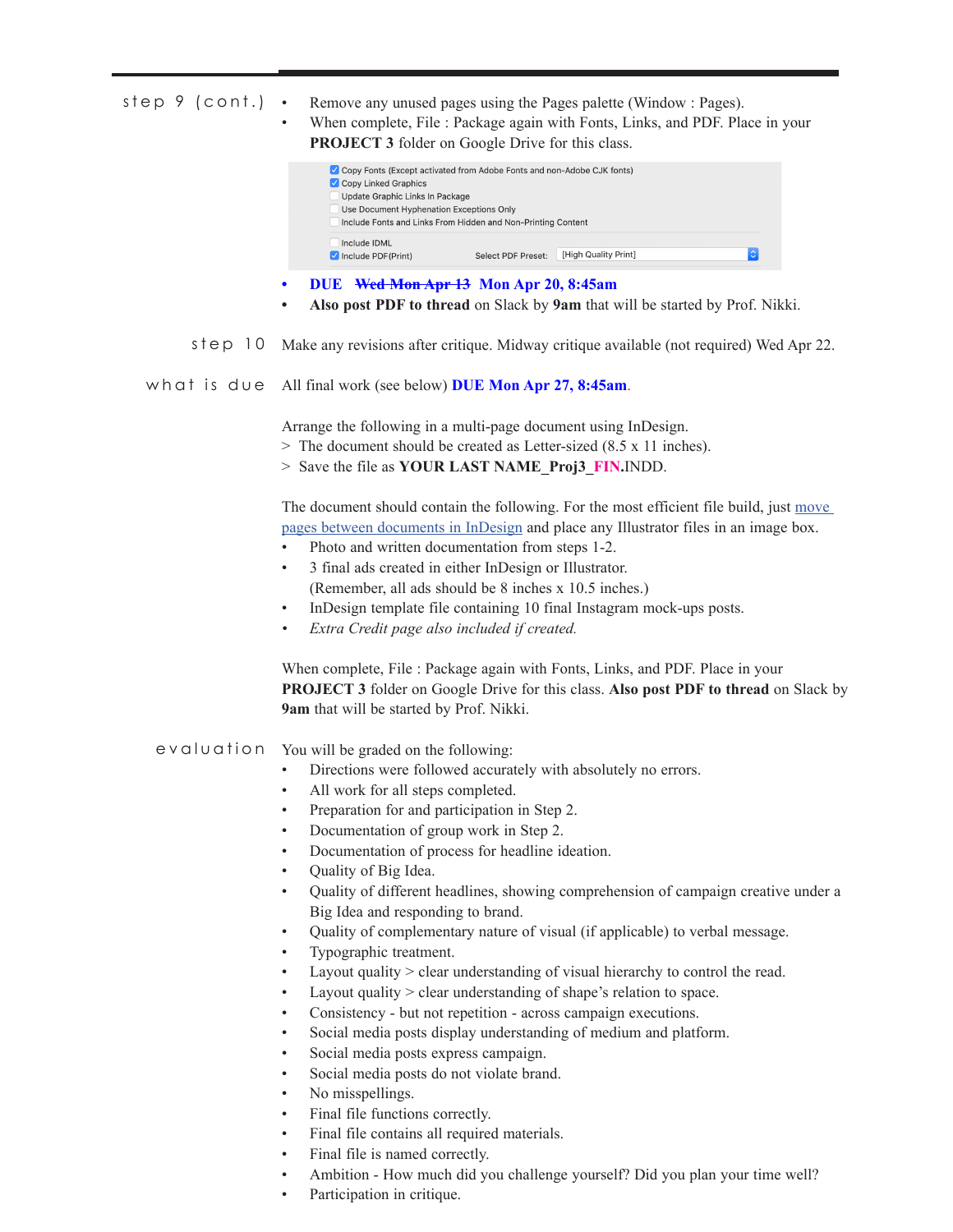| step 9 (cont.) | Remove any unused pages using the Pages palette (Window: Pages).<br>$\bullet$<br>When complete, File : Package again with Fonts, Links, and PDF. Place in your<br><b>PROJECT 3</b> folder on Google Drive for this class.                     |  |  |  |  |  |
|----------------|-----------------------------------------------------------------------------------------------------------------------------------------------------------------------------------------------------------------------------------------------|--|--|--|--|--|
|                | Copy Fonts (Except activated from Adobe Fonts and non-Adobe CJK fonts)<br>Copy Linked Graphics<br>Update Graphic Links In Package<br>Use Document Hyphenation Exceptions Only<br>Include Fonts and Links From Hidden and Non-Printing Content |  |  |  |  |  |
|                | Include IDML<br>$ \hat{\mathbf{c}} $<br>Select PDF Preset: [High Quality Print]<br>Include PDF(Print)                                                                                                                                         |  |  |  |  |  |
|                | DUE Wed Mon Apr 13 Mon Apr 20, 8:45am<br>٠<br>Also post PDF to thread on Slack by 9am that will be started by Prof. Nikki.                                                                                                                    |  |  |  |  |  |
| step 10        | Make any revisions after critique. Midway critique available (not required) Wed Apr 22.                                                                                                                                                       |  |  |  |  |  |
| what is due    | All final work (see below) DUE Mon Apr 27, 8:45am.                                                                                                                                                                                            |  |  |  |  |  |
|                | Arrange the following in a multi-page document using InDesign.                                                                                                                                                                                |  |  |  |  |  |
|                | > The document should be created as Letter-sized (8.5 x 11 inches).                                                                                                                                                                           |  |  |  |  |  |
|                | > Save the file as YOUR LAST NAME_Proj3_FIN.INDD.                                                                                                                                                                                             |  |  |  |  |  |
|                | The document should contain the following. For the most efficient file build, just move                                                                                                                                                       |  |  |  |  |  |
|                | pages between documents in InDesign and place any Illustrator files in an image box.                                                                                                                                                          |  |  |  |  |  |
|                | Photo and written documentation from steps 1-2.                                                                                                                                                                                               |  |  |  |  |  |
|                | 3 final ads created in either InDesign or Illustrator.<br>$\bullet$                                                                                                                                                                           |  |  |  |  |  |
|                | (Remember, all ads should be 8 inches x 10.5 inches.)                                                                                                                                                                                         |  |  |  |  |  |
|                | InDesign template file containing 10 final Instagram mock-ups posts.<br>$\bullet$                                                                                                                                                             |  |  |  |  |  |
|                | Extra Credit page also included if created.<br>$\bullet$                                                                                                                                                                                      |  |  |  |  |  |
|                | When complete, File : Package again with Fonts, Links, and PDF. Place in your<br><b>PROJECT 3</b> folder on Google Drive for this class. Also post PDF to thread on Slack by<br>9am that will be started by Prof. Nikki.                      |  |  |  |  |  |
| evaluation     | You will be graded on the following:                                                                                                                                                                                                          |  |  |  |  |  |
|                | Directions were followed accurately with absolutely no errors.                                                                                                                                                                                |  |  |  |  |  |
|                | All work for all steps completed.<br>$\bullet$                                                                                                                                                                                                |  |  |  |  |  |
|                | Preparation for and participation in Step 2.<br>٠                                                                                                                                                                                             |  |  |  |  |  |
|                | Documentation of group work in Step 2.<br>$\bullet$                                                                                                                                                                                           |  |  |  |  |  |
|                | Documentation of process for headline ideation.<br>٠                                                                                                                                                                                          |  |  |  |  |  |
|                | Quality of Big Idea.<br>٠                                                                                                                                                                                                                     |  |  |  |  |  |
|                | Quality of different headlines, showing comprehension of campaign creative under a<br>$\bullet$                                                                                                                                               |  |  |  |  |  |
|                | Big Idea and responding to brand.                                                                                                                                                                                                             |  |  |  |  |  |
|                | Quality of complementary nature of visual (if applicable) to verbal message.<br>$\bullet$                                                                                                                                                     |  |  |  |  |  |
|                | Typographic treatment.<br>٠<br>Layout quality > clear understanding of visual hierarchy to control the read.<br>٠                                                                                                                             |  |  |  |  |  |
|                | Layout quality > clear understanding of shape's relation to space.<br>٠                                                                                                                                                                       |  |  |  |  |  |
|                | Consistency - but not repetition - across campaign executions.<br>٠                                                                                                                                                                           |  |  |  |  |  |
|                | Social media posts display understanding of medium and platform.<br>٠                                                                                                                                                                         |  |  |  |  |  |
|                | Social media posts express campaign.<br>٠                                                                                                                                                                                                     |  |  |  |  |  |
|                | Social media posts do not violate brand.<br>٠                                                                                                                                                                                                 |  |  |  |  |  |
|                | No misspellings.<br>٠                                                                                                                                                                                                                         |  |  |  |  |  |

- Final file functions correctly.
- Final file contains all required materials.
- Final file is named correctly.
- Ambition How much did you challenge yourself? Did you plan your time well?
- Participation in critique.